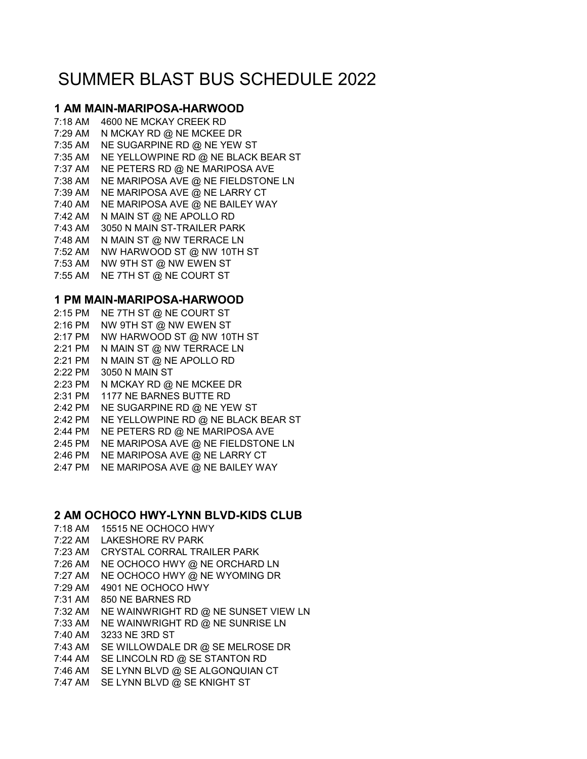# SUMMER BLAST BUS SCHEDULE 2022

# **1 AM MAIN-MARIPOSA-HARWOOD**

7:18 AM 4600 NE MCKAY CREEK RD 7:29 AM N MCKAY RD @ NE MCKEE DR 7:35 AM NE SUGARPINE RD @ NE YEW ST 7:35 AM NE YELLOWPINE RD @ NE BLACK BEAR ST 7:37 AM NE PETERS RD @ NE MARIPOSA AVE 7:38 AM NE MARIPOSA AVE @ NE FIELDSTONE LN 7:39 AM NE MARIPOSA AVE @ NE LARRY CT 7:40 AM NE MARIPOSA AVE @ NE BAILEY WAY 7:42 AM N MAIN ST @ NE APOLLO RD 7:43 AM 3050 N MAIN ST-TRAILER PARK 7:48 AM N MAIN ST @ NW TERRACE LN 7:52 AM NW HARWOOD ST @ NW 10TH ST 7:53 AM NW 9TH ST @ NW EWEN ST 7:55 AM NE 7TH ST @ NE COURT ST

# **1 PM MAIN-MARIPOSA-HARWOOD**

2:15 PM NE 7TH ST @ NE COURT ST 2:16 PM NW 9TH ST @ NW EWEN ST 2:17 PM NW HARWOOD ST @ NW 10TH ST 2:21 PM N MAIN ST @ NW TERRACE LN 2:21 PM N MAIN ST @ NE APOLLO RD 2:22 PM 3050 N MAIN ST 2:23 PM N MCKAY RD @ NE MCKEE DR 2:31 PM 1177 NE BARNES BUTTE RD 2:42 PM NE SUGARPINE RD @ NE YEW ST 2:42 PM NE YELLOWPINE RD @ NE BLACK BEAR ST 2:44 PM NE PETERS RD @ NE MARIPOSA AVE 2:45 PM NE MARIPOSA AVE @ NE FIELDSTONE LN 2:46 PM NE MARIPOSA AVE @ NE LARRY CT 2:47 PM NE MARIPOSA AVE @ NE BAILEY WAY

# **2 AM OCHOCO HWY-LYNN BLVD-KIDS CLUB**

- 7:18 AM 15515 NE OCHOCO HWY
- 7:22 AM LAKESHORE RV PARK
- 7:23 AM CRYSTAL CORRAL TRAILER PARK
- 7:26 AM NE OCHOCO HWY @ NE ORCHARD LN
- 7:27 AM NE OCHOCO HWY @ NE WYOMING DR
- 7:29 AM 4901 NE OCHOCO HWY
- 7:31 AM 850 NE BARNES RD
- 7:32 AM NE WAINWRIGHT RD @ NE SUNSET VIEW LN
- 7:33 AM NE WAINWRIGHT RD @ NE SUNRISE LN
- 7:40 AM 3233 NE 3RD ST
- 7:43 AM SE WILLOWDALE DR @ SE MELROSE DR
- 7:44 AM SE LINCOLN RD @ SE STANTON RD
- 7:46 AM SE LYNN BLVD @ SE ALGONQUIAN CT
- 7:47 AM SE LYNN BLVD @ SE KNIGHT ST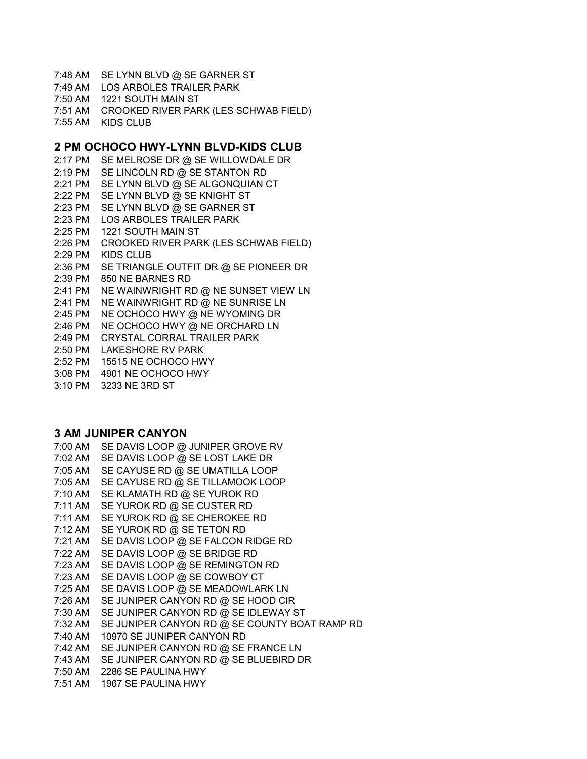7:48 AM SE LYNN BLVD @ SE GARNER ST

7:49 AM LOS ARBOLES TRAILER PARK

7:50 AM 1221 SOUTH MAIN ST

7:51 AM CROOKED RIVER PARK (LES SCHWAB FIELD)

7:55 AM KIDS CLUB

#### **2 PM OCHOCO HWY-LYNN BLVD-KIDS CLUB**

2:17 PM SE MELROSE DR @ SE WILLOWDALE DR 2:19 PM SE LINCOLN RD @ SE STANTON RD 2:21 PM SE LYNN BLVD @ SE ALGONQUIAN CT 2:22 PM SE LYNN BLVD @ SE KNIGHT ST 2:23 PM SE LYNN BLVD @ SE GARNER ST 2:23 PM LOS ARBOLES TRAILER PARK 2:25 PM 1221 SOUTH MAIN ST 2:26 PM CROOKED RIVER PARK (LES SCHWAB FIELD) 2:29 PM KIDS CLUB 2:36 PM SE TRIANGLE OUTFIT DR @ SE PIONEER DR 2:39 PM 850 NE BARNES RD 2:41 PM NE WAINWRIGHT RD @ NE SUNSET VIEW LN 2:41 PM NE WAINWRIGHT RD @ NE SUNRISE LN 2:45 PM NE OCHOCO HWY @ NE WYOMING DR 2:46 PM NE OCHOCO HWY @ NE ORCHARD LN 2:49 PM CRYSTAL CORRAL TRAILER PARK 2:50 PM LAKESHORE RV PARK 2:52 PM 15515 NE OCHOCO HWY 3:08 PM 4901 NE OCHOCO HWY 3:10 PM 3233 NE 3RD ST

#### **3 AM JUNIPER CANYON**

| 7:00 AM | SE DAVIS LOOP @ JUNIPER GROVE RV              |
|---------|-----------------------------------------------|
| 7:02 AM | SE DAVIS LOOP @ SE LOST LAKE DR               |
| 7:05 AM | SE CAYUSE RD @ SE UMATILLA LOOP               |
| 7:05 AM | SE CAYUSE RD @ SE TILLAMOOK LOOP              |
| 7:10 AM | SE KLAMATH RD @ SE YUROK RD                   |
| 7:11 AM | SE YUROK RD @ SE CUSTER RD                    |
| 7:11 AM | SE YUROK RD @ SE CHEROKEE RD                  |
| 7:12 AM | SE YUROK RD @ SE TETON RD                     |
| 7:21 AM | SE DAVIS LOOP @ SE FALCON RIDGE RD            |
| 7:22 AM | SE DAVIS LOOP @ SE BRIDGE RD                  |
| 7:23 AM | SE DAVIS LOOP @ SE REMINGTON RD               |
| 7:23 AM | SE DAVIS LOOP @ SE COWBOY CT                  |
| 7:25 AM | SE DAVIS LOOP @ SE MEADOWLARK LN              |
| 7:26 AM | SE JUNIPER CANYON RD @ SE HOOD CIR            |
| 7:30 AM | SE JUNIPER CANYON RD @ SE IDLEWAY ST          |
| 7:32 AM | SE JUNIPER CANYON RD @ SE COUNTY BOAT RAMP RD |
| 7:40 AM | 10970 SE JUNIPER CANYON RD                    |
| 7:42 AM | SE JUNIPER CANYON RD @ SE FRANCE LN           |
| 7:43 AM | SE JUNIPER CANYON RD @ SE BLUEBIRD DR         |
|         | 7:50 AM 2286 SE PAULINA HWY                   |
| 7:51 AM | 1967 SE PAULINA HWY                           |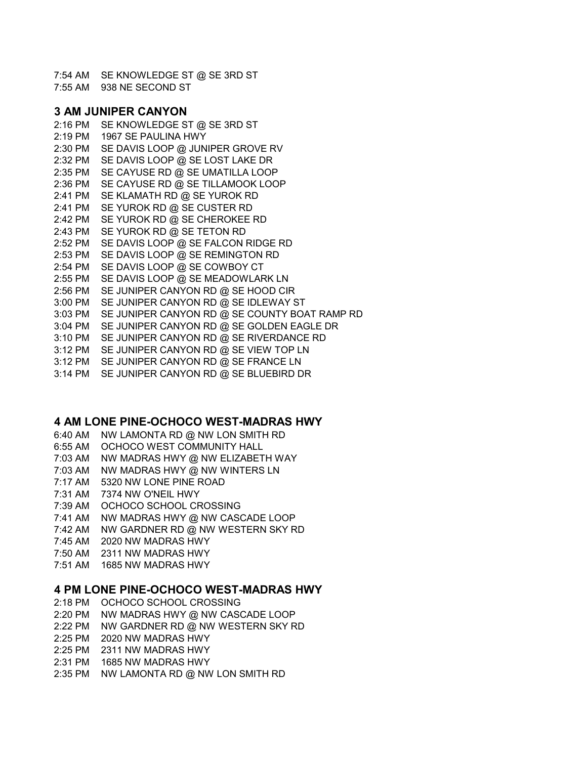7:54 AM SE KNOWLEDGE ST @ SE 3RD ST 7:55 AM 938 NE SECOND ST

## **3 AM JUNIPER CANYON**

2:16 PM SE KNOWLEDGE ST @ SE 3RD ST 2:19 PM 1967 SE PAULINA HWY 2:30 PM SE DAVIS LOOP @ JUNIPER GROVE RV 2:32 PM SE DAVIS LOOP @ SE LOST LAKE DR 2:35 PM SE CAYUSE RD @ SE UMATILLA LOOP 2:36 PM SE CAYUSE RD @ SE TILLAMOOK LOOP 2:41 PM SE KLAMATH RD @ SE YUROK RD 2:41 PM SE YUROK RD @ SE CUSTER RD 2:42 PM SE YUROK RD @ SE CHEROKEE RD 2:43 PM SE YUROK RD @ SE TETON RD 2:52 PM SE DAVIS LOOP @ SE FALCON RIDGE RD 2:53 PM SE DAVIS LOOP @ SE REMINGTON RD 2:54 PM SE DAVIS LOOP @ SE COWBOY CT 2:55 PM SE DAVIS LOOP @ SE MEADOWLARK LN 2:56 PM SE JUNIPER CANYON RD @ SE HOOD CIR 3:00 PM SE JUNIPER CANYON RD @ SE IDLEWAY ST 3:03 PM SE JUNIPER CANYON RD @ SE COUNTY BOAT RAMP RD 3:04 PM SE JUNIPER CANYON RD @ SE GOLDEN EAGLE DR 3:10 PM SE JUNIPER CANYON RD @ SE RIVERDANCE RD 3:12 PM SE JUNIPER CANYON RD @ SE VIEW TOP LN 3:12 PM SE JUNIPER CANYON RD @ SE FRANCE LN 3:14 PM SE JUNIPER CANYON RD @ SE BLUEBIRD DR

# **4 AM LONE PINE-OCHOCO WEST-MADRAS HWY**

6:40 AM NW LAMONTA RD @ NW LON SMITH RD

- 6:55 AM OCHOCO WEST COMMUNITY HALL
- 7:03 AM NW MADRAS HWY @ NW ELIZABETH WAY
- 7:03 AM NW MADRAS HWY @ NW WINTERS LN
- 7:17 AM 5320 NW LONE PINE ROAD
- 7:31 AM 7374 NW O'NEIL HWY
- 7:39 AM OCHOCO SCHOOL CROSSING
- 7:41 AM NW MADRAS HWY @ NW CASCADE LOOP
- 7:42 AM NW GARDNER RD @ NW WESTERN SKY RD
- 7:45 AM 2020 NW MADRAS HWY
- 7:50 AM 2311 NW MADRAS HWY
- 7:51 AM 1685 NW MADRAS HWY

#### **4 PM LONE PINE-OCHOCO WEST-MADRAS HWY**

- 2:18 PM OCHOCO SCHOOL CROSSING
- 2:20 PM NW MADRAS HWY @ NW CASCADE LOOP
- 2:22 PM NW GARDNER RD @ NW WESTERN SKY RD
- 2:25 PM 2020 NW MADRAS HWY
- 2:25 PM 2311 NW MADRAS HWY
- 2:31 PM 1685 NW MADRAS HWY
- 2:35 PM NW LAMONTA RD @ NW LON SMITH RD